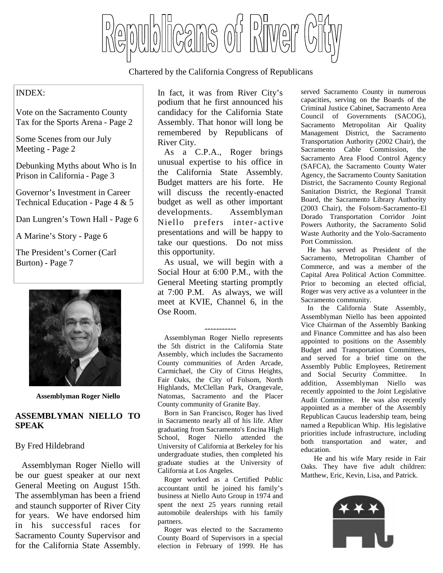blicans of Birver

Chartered by the California Congress of Republicans

#### INDEX:

Vote on the Sacramento County Tax for the Sports Arena - Page 2

Some Scenes from our July Meeting - Page 2

Debunking Myths about Who is In Prison in California - Page 3

Governor's Investment in Career Technical Education - Page 4 & 5

Dan Lungren's Town Hall - Page 6

A Marine's Story - Page 6

The President's Corner (Carl Burton) - Page 7



**Assemblyman Roger Niello**

#### **ASSEMBLYMAN NIELLO TO SPEAK**

#### By Fred Hildebrand

Assemblyman Roger Niello will be our guest speaker at our next General Meeting on August 15th. The assemblyman has been a friend and staunch supporter of River City for years. We have endorsed him in his successful races for Sacramento County Supervisor and for the California State Assembly.

In fact, it was from River City's podium that he first announced his candidacy for the California State Assembly. That honor will long be remembered by Republicans of River City.

As a C.P.A., Roger brings unusual expertise to his office in the California State Assembly. Budget matters are his forte. He will discuss the recently-enacted budget as well as other important developments. Assemblyman Niello prefers inter- active presentations and will be happy to take our questions. Do not miss this opportunity.

As usual, we will begin with a Social Hour at 6:00 P.M., with the General Meeting starting promptly at 7:00 P.M. As always, we will meet at KVIE, Channel 6, in the Ose Room.

-----------

Assemblyman Roger Niello represents the 5th district in the California State Assembly, which includes the Sacramento County communities of Arden Arcade, Carmichael, the City of Citrus Heights, Fair Oaks, the City of Folsom, North Highlands, McClellan Park, Orangevale, Natomas, Sacramento and the Placer County community of Granite Bay.

Born in San Francisco, Roger has lived in Sacramento nearly all of his life. After graduating from Sacramento's Encina High School, Roger Niello attended the University of California at Berkeley for his undergraduate studies, then completed his graduate studies at the University of California at Los Angeles.

Roger worked as a Certified Public accountant until he joined his family's business at Niello Auto Group in 1974 and spent the next 25 years running retail automobile dealerships with his family partners.

Roger was elected to the Sacramento County Board of Supervisors in a special election in February of 1999. He has

served Sacramento County in numerous capacities, serving on the Boards of the Criminal Justice Cabinet, Sacramento Area Council of Governments (SACOG), Sacramento Metropolitan Air Quality Management District, the Sacramento Transportation Authority (2002 Chair), the Sacramento Cable Commission, the Sacramento Area Flood Control Agency (SAFCA), the Sacramento County Water Agency, the Sacramento County Sanitation District, the Sacramento County Regional Sanitation District, the Regional Transit Board, the Sacramento Library Authority (2003 Chair), the Folsom-Sacramento-El Dorado Transportation Corridor Joint Powers Authority, the Sacramento Solid Waste Authority and the Yolo-Sacramento Port Commission.

He has served as President of the Sacramento, Metropolitan Chamber of Commerce, and was a member of the Capital Area Political Action Committee. Prior to becoming an elected official, Roger was very active as a volunteer in the Sacramento community.

In the California State Assembly, Assemblyman Niello has been appointed Vice Chairman of the Assembly Banking and Finance Committee and has also been appointed to positions on the Assembly Budget and Transportation Committees, and served for a brief time on the Assembly Public Employees, Retirement and Social Security Committee. In addition, Assemblyman Niello was recently appointed to the Joint Legislative Audit Committee. He was also recently appointed as a member of the Assembly Republican Caucus leadership team, being named a Republican Whip. His legislative priorities include infrastructure, including both transportation and water, and education.

He and his wife Mary reside in Fair Oaks. They have five adult children: Matthew, Eric, Kevin, Lisa, and Patrick.

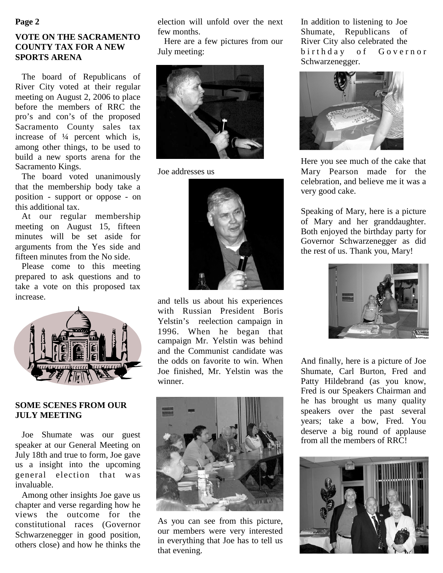#### **Page 2**

## **VOTE ON THE SACRAMENTO COUNTY TAX FOR A NEW SPORTS ARENA**

The board of Republicans of River City voted at their regular meeting on August 2, 2006 to place before the members of RRC the pro's and con's of the proposed Sacramento County sales tax increase of ¼ percent which is, among other things, to be used to build a new sports arena for the Sacramento Kings.

The board voted unanimously that the membership body take a position - support or oppose - on this additional tax.

At our regular membership meeting on August 15, fifteen minutes will be set aside for arguments from the Yes side and fifteen minutes from the No side.

Please come to this meeting prepared to ask questions and to take a vote on this proposed tax increase.



#### **SOME SCENES FROM OUR JULY MEETING**

Joe Shumate was our guest speaker at our General Meeting on July 18th and true to form, Joe gave us a insight into the upcoming general election that was invaluable.

Among other insights Joe gave us chapter and verse regarding how he views the outcome for the constitutional races (Governor Schwarzenegger in good position, others close) and how he thinks the election will unfold over the next few months.

Here are a few pictures from our July meeting:



Joe addresses us



and tells us about his experiences with Russian President Boris Yelstin's reelection campaign in 1996. When he began that campaign Mr. Yelstin was behind and the Communist candidate was the odds on favorite to win. When Joe finished, Mr. Yelstin was the winner.



As you can see from this picture, our members were very interested in everything that Joe has to tell us that evening.

In addition to listening to Joe Shumate, Republicans of River City also celebrated the b i r t h d a y o f G o v e r n o r Schwarzenegger.



Here you see much of the cake that Mary Pearson made for the celebration, and believe me it was a very good cake.

Speaking of Mary, here is a picture of Mary and her granddaughter. Both enjoyed the birthday party for Governor Schwarzenegger as did the rest of us. Thank you, Mary!



And finally, here is a picture of Joe Shumate, Carl Burton, Fred and Patty Hildebrand (as you know, Fred is our Speakers Chairman and he has brought us many quality speakers over the past several years; take a bow, Fred. You deserve a big round of applause from all the members of RRC!

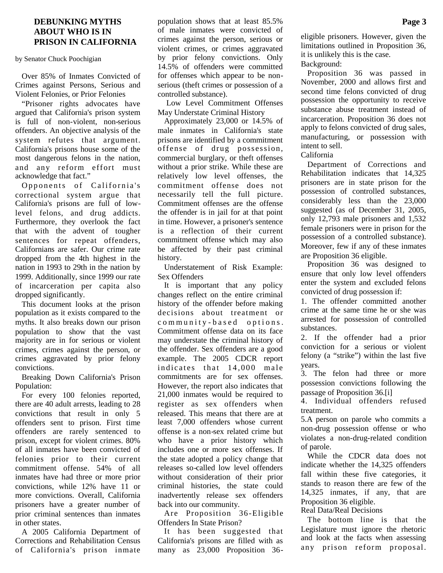#### **DEBUNKING MYTHS ABOUT WHO IS IN PRISON IN CALIFORNIA**

by Senator Chuck Poochigian

Over 85% of Inmates Convicted of Crimes against Persons, Serious and Violent Felonies, or Prior Felonies

"Prisoner rights advocates have argued that California's prison system is full of non-violent, non-serious offenders. An objective analysis of the system refutes that argument. California's prisons house some of the most dangerous felons in the nation, and any reform effort must acknowledge that fact."

Opponents of California's correctional system argue that California's prisons are full of lowlevel felons, and drug addicts. Furthermore, they overlook the fact that with the advent of tougher sentences for repeat offenders, Californians are safer. Our crime rate dropped from the 4th highest in the nation in 1993 to 29th in the nation by 1999. Additionally, since 1999 our rate of incarceration per capita also dropped significantly.

This document looks at the prison population as it exists compared to the myths. It also breaks down our prison population to show that the vast majority are in for serious or violent crimes, crimes against the person, or crimes aggravated by prior felony convictions.

Breaking Down California's Prison Population:

For every 100 felonies reported, there are 40 adult arrests, leading to 28 convictions that result in only 5 offenders sent to prison. First time offenders are rarely sentenced to prison, except for violent crimes. 80% of all inmates have been convicted of felonies prior to their current commitment offense. 54% of all inmates have had three or more prior convictions, while 12% have 11 or more convictions. Overall, California prisoners have a greater number of prior criminal sentences than inmates in other states.

A 2005 California Department of Corrections and Rehabilitation Census of California's prison inmate

population shows that at least 85.5% of male inmates were convicted of crimes against the person, serious or violent crimes, or crimes aggravated by prior felony convictions. Only 14.5% of offenders were committed for offenses which appear to be nonserious (theft crimes or possession of a controlled substance).

Low Level Commitment Offenses May Understate Criminal History

Approximately 23,000 or 14.5% of male inmates in California's state prisons are identified by a commitment offense of drug possession, commercial burglary, or theft offenses without a prior strike. While these are relatively low level offenses, the commitment offense does not necessarily tell the full picture. Commitment offenses are the offense the offender is in jail for at that point in time. However, a prisoner's sentence is a reflection of their current commitment offense which may also be affected by their past criminal history.

Understatement of Risk Example: Sex Offenders

It is important that any policy changes reflect on the entire criminal history of the offender before making decisions about treatment or community-based options. Commitment offense data on its face may understate the criminal history of the offender. Sex offenders are a good example. The 2005 CDCR report indicates that 14,000 male commitments are for sex offenses. However, the report also indicates that 21,000 inmates would be required to register as sex offenders when released. This means that there are at least 7,000 offenders whose current offense is a non-sex related crime but who have a prior history which includes one or more sex offenses. If the state adopted a policy change that releases so-called low level offenders without consideration of their prior criminal histories, the state could inadvertently release sex offenders back into our community.

Are Proposition 36-Eligible Offenders In State Prison?

It has been suggested that California's prisons are filled with as many as 23,000 Proposition 36eligible prisoners. However, given the limitations outlined in Proposition 36, it is unlikely this is the case. Background:

Proposition 36 was passed in November, 2000 and allows first and second time felons convicted of drug possession the opportunity to receive substance abuse treatment instead of incarceration. Proposition 36 does not apply to felons convicted of drug sales, manufacturing, or possession with intent to sell.

California

Department of Corrections and Rehabilitation indicates that 14,325 prisoners are in state prison for the possession of controlled substances, considerably less than the 23,000 suggested (as of December 31, 2005, only 12,793 male prisoners and 1,532 female prisoners were in prison for the possession of a controlled substance). Moreover, few if any of these inmates are Proposition 36 eligible.

Proposition 36 was designed to ensure that only low level offenders enter the system and excluded felons convicted of drug possession if:

1. The offender committed another crime at the same time he or she was arrested for possession of controlled substances.

2. If the offender had a prior conviction for a serious or violent felony (a "strike") within the last five years.

3. The felon had three or more possession convictions following the passage of Proposition 36.[i]

4. Individual offenders refused treatment.

5.A person on parole who commits a non-drug possession offense or who violates a non-drug-related condition of parole.

While the CDCR data does not indicate whether the 14,325 offenders fall within these five categories, it stands to reason there are few of the 14,325 inmates, if any, that are Proposition 36 eligible.

Real Data/Real Decisions

The bottom line is that the Legislature must ignore the rhetoric and look at the facts when assessing any prison reform proposal.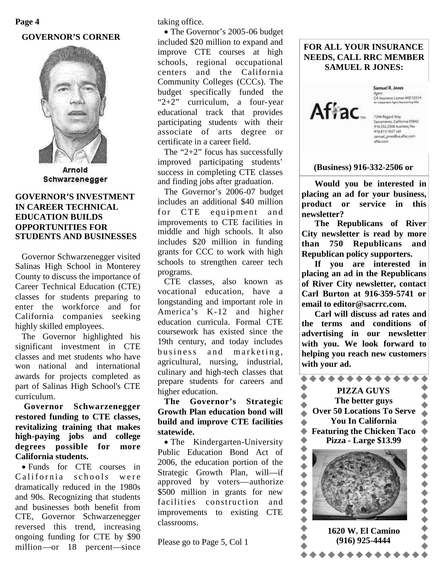#### **GOVERNOR'S CORNER**



Arnold Schwarzenegger

#### **GOVERNOR'S INVESTMENT IN CAREER TECHNICAL EDUCATION BUILDS OPPORTUNITIES FOR STUDENTS AND BUSINESSES**

Governor Schwarzenegger visited Salinas High School in Monterey County to discuss the importance of Career Technical Education (CTE) classes for students preparing to enter the workforce and for California companies seeking highly skilled employees.

The Governor highlighted his significant investment in CTE classes and met students who have won national and international awards for projects completed as part of Salinas High School's CTE curriculum.

**Governor Schwarzenegger restored funding to CTE classes, revitalizing training that makes high-paying jobs and college degrees possible for more California students.**

Funds for CTE courses in California schools were dramatically reduced in the 1980s and 90s. Recognizing that students and businesses both benefit from CTE, Governor Schwarzenegger reversed this trend, increasing ongoing funding for CTE by \$90 million—or 18 percent—since taking office.

• The Governor's 2005-06 budget included \$20 million to expand and improve CTE courses at high schools, regional occupational centers and the California Community Colleges (CCCs). The budget specifically funded the "2+2" curriculum, a four-year educational track that provides participating students with their associate of arts degree or certificate in a career field.

The "2+2" focus has successfully improved participating students' success in completing CTE classes and finding jobs after graduation.

The Governor's 2006-07 budget includes an additional \$40 million for CTE equipment and improvements to CTE facilities in middle and high schools. It also includes \$20 million in funding grants for CCC to work with high schools to strengthen career tech programs.

CTE classes, also known as vocational education, have a longstanding and important role in America's K-12 and higher education curricula. Formal CTE coursework has existed since the 19th century, and today includes business and marketing, agricultural, nursing, industrial, culinary and high-tech classes that prepare students for careers and higher education.

## **The Governor's Strategic Growth Plan education bond will build and improve CTE facilities statewide.**

• The Kindergarten-University Public Education Bond Act of 2006, the education portion of the Strategic Growth Plan, will—if approved by voters—authorize \$500 million in grants for new facilities construction and improvements to existing CTE classrooms.

Please go to Page 5, Col 1

#### **FOR ALL YOUR INSURANCE NEEDS, CALL RRC MEMBER SAMUEL R JONES:**



Samuel R. Jones Agent.<br>CA Insurance License #0E10314

7244 Regard Way Sacramento, California 95842<br>916.332.2506 business/fax 916.813.1657 cell samuel\_jones@us.aflac.com aflac.com

#### **(Business) 916-332-2506 or**

**Would you be interested in placing an ad for your business, product or service in this newsletter?**

**The Republicans of River City newsletter is read by more than 750 Republicans and Republican policy supporters.**

**If you are interested in placing an ad in the Republicans of River City newsletter, contact Carl Burton at 916-359-5741 or email to editor@sacrrc.com.**

**Carl will discuss ad rates and the terms and conditions of advertising in our newsletter with you. We look forward to helping you reach new customers with your ad.**

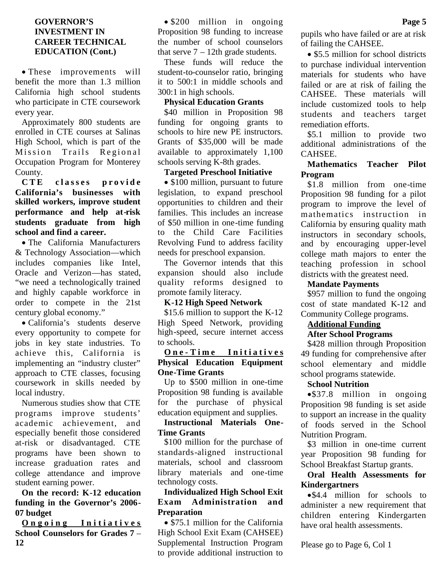#### **GOVERNOR'S INVESTMENT IN CAREER TECHNICAL EDUCATION (Cont.)**

These improvements will benefit the more than 1.3 million California high school students who participate in CTE coursework every year.

Approximately 800 students are enrolled in CTE courses at Salinas High School, which is part of the Mission Trails Regional Occupation Program for Monterey County.

**C T E c l a s s e s p r o v i d e California's businesses with skilled workers, improve student performance and help at-risk students graduate from high school and find a career.**

The California Manufacturers & Technology Association—which includes companies like Intel, Oracle and Verizon—has stated, "we need a technologically trained and highly capable workforce in order to compete in the 21st century global economy."

California's students deserve every opportunity to compete for jobs in key state industries. To achieve this, California is implementing an "industry cluster" approach to CTE classes, focusing coursework in skills needed by local industry.

Numerous studies show that CTE programs improve students' academic achievement, and especially benefit those considered at-risk or disadvantaged. CTE programs have been shown to increase graduation rates and college attendance and improve student earning power.

**On the record: K-12 education funding in the Governor's 2006- 07 budget**

**Ongoing** Initiatives **School Counselors for Grades 7** – **12**

• \$200 million in ongoing Proposition 98 funding to increase the number of school counselors that serve  $7 - 12$ th grade students.

These funds will reduce the student-to-counselor ratio, bringing it to 500:1 in middle schools and 300:1 in high schools.

# **Physical Education Grants**

\$40 million in Proposition 98 funding for ongoing grants to schools to hire new PE instructors. Grants of \$35,000 will be made available to approximately 1,100 schools serving K-8th grades.

#### **Targeted Preschool Initiative**

• \$100 million, pursuant to future legislation, to expand preschool opportunities to children and their families. This includes an increase of \$50 million in one-time funding to the Child Care Facilities Revolving Fund to address facility needs for preschool expansion.

The Governor intends that this expansion should also include quality reforms designed to promote family literacy.

## **K-12 High Speed Network**

\$15.6 million to support the K-12 High Speed Network, providing high-speed, secure internet access to schools.

## **O n e - T i m e I n i t i a t i v e s Physical Education Equipment One-Time Grants**

Up to \$500 million in one-time Proposition 98 funding is available for the purchase of physical education equipment and supplies.

**Instructional Materials One-Time Grants**

\$100 million for the purchase of standards-aligned instructional materials, school and classroom library materials and one-time technology costs.

#### **Individualized High School Exit Exam Administration and Preparation**

• \$75.1 million for the California High School Exit Exam (CAHSEE) Supplemental Instruction Program to provide additional instruction to

pupils who have failed or are at risk of failing the CAHSEE.

• \$5.5 million for school districts to purchase individual intervention materials for students who have failed or are at risk of failing the CAHSEE. These materials will include customized tools to help students and teachers target remediation efforts.

\$5.1 million to provide two additional administrations of the CAHSEE.

## **Mathematics Teacher Pilot Program**

\$1.8 million from one-time Proposition 98 funding for a pilot program to improve the level of mathematics instruction in California by ensuring quality math instructors in secondary schools, and by encouraging upper-level college math majors to enter the teaching profession in school districts with the greatest need.

#### **Mandate Payments**

\$957 million to fund the ongoing cost of state mandated K-12 and Community College programs.

## **Additional Funding**

#### **After School Programs**

\$428 million through Proposition 49 funding for comprehensive after school elementary and middle school programs statewide.

## **School Nutrition**

\$37.8 million in ongoing Proposition 98 funding is set aside to support an increase in the quality of foods served in the School Nutrition Program.

\$3 million in one-time current year Proposition 98 funding for School Breakfast Startup grants.

## **Oral Health Assessments for Kindergartners**

\$4.4 million for schools to administer a new requirement that children entering Kindergarten have oral health assessments.

Please go to Page 6, Col 1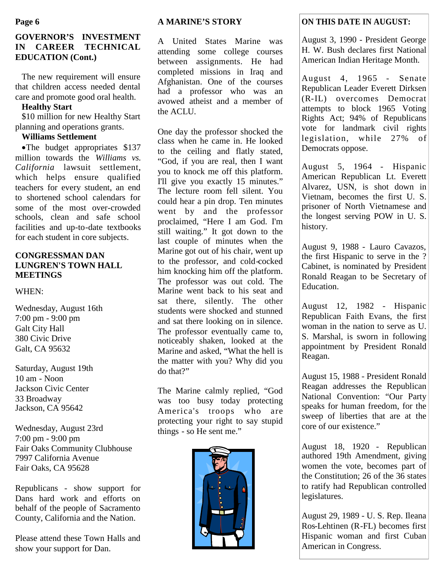# **GOVERNOR'S INVESTMENT IN CAREER TECHNICAL EDUCATION (Cont.)**

The new requirement will ensure that children access needed dental care and promote good oral health.

#### **Healthy Start**

\$10 million for new Healthy Start planning and operations grants.

# **Williams Settlement**

The budget appropriates \$137 million towards the *Williams vs. California* lawsuit settlement, which helps ensure qualified teachers for every student, an end to shortened school calendars for some of the most over-crowded schools, clean and safe school facilities and up-to-date textbooks for each student in core subjects.

#### **CONGRESSMAN DAN LUNGREN'S TOWN HALL MEETINGS**

#### WHEN:

Wednesday, August 16th 7:00 pm - 9:00 pm Galt City Hall 380 Civic Drive Galt, CA 95632

Saturday, August 19th 10 am - Noon Jackson Civic Center 33 Broadway Jackson, CA 95642

Wednesday, August 23rd 7:00 pm - 9:00 pm Fair Oaks Community Clubhouse 7997 California Avenue Fair Oaks, CA 95628

Republicans - show support for Dans hard work and efforts on behalf of the people of Sacramento County, California and the Nation.

Please attend these Town Halls and show your support for Dan.

#### **A MARINE'S STORY**

A United States Marine was attending some college courses between assignments. He had completed missions in Iraq and Afghanistan. One of the courses had a professor who was an avowed atheist and a member of the ACLU.

One day the professor shocked the class when he came in. He looked to the ceiling and flatly stated, "God, if you are real, then I want you to knock me off this platform. I'll give you exactly 15 minutes." The lecture room fell silent. You could hear a pin drop. Ten minutes went by and the professor proclaimed, "Here I am God. I'm still waiting." It got down to the last couple of minutes when the Marine got out of his chair, went up to the professor, and cold-cocked him knocking him off the platform. The professor was out cold. The Marine went back to his seat and sat there, silently. The other students were shocked and stunned and sat there looking on in silence. The professor eventually came to, noticeably shaken, looked at the Marine and asked, "What the hell is the matter with you? Why did you do that?"

The Marine calmly replied, "God was too busy today protecting America's troops who are protecting your right to say stupid things - so He sent me."



# **Page 6 ON THIS DATE IN AUGUST: ON THIS DATE IN AUGUST:**

August 3, 1990 - President George H. W. Bush declares first National American Indian Heritage Month.

August 4, 1965 - Senate Republican Leader Everett Dirksen (R-IL) overcomes Democrat attempts to block 1965 Voting Rights Act; 94% of Republicans vote for landmark civil rights legislation, while 27% of Democrats oppose.

August 5, 1964 - Hispanic American Republican Lt. Everett Alvarez, USN, is shot down in Vietnam, becomes the first U. S. prisoner of North Vietnamese and the longest serving POW in U. S. history.

August 9, 1988 - Lauro Cavazos, the first Hispanic to serve in the ? Cabinet, is nominated by President Ronald Reagan to be Secretary of Education.

August 12, 1982 - Hispanic Republican Faith Evans, the first woman in the nation to serve as U. S. Marshal, is sworn in following appointment by President Ronald Reagan.

August 15, 1988 - President Ronald Reagan addresses the Republican National Convention: "Our Party speaks for human freedom, for the sweep of liberties that are at the core of our existence."

August 18, 1920 - Republican authored 19th Amendment, giving women the vote, becomes part of the Constitution; 26 of the 36 states to ratify had Republican controlled legislatures.

August 29, 1989 - U. S. Rep. Ileana Ros-Lehtinen (R-FL) becomes first Hispanic woman and first Cuban American in Congress.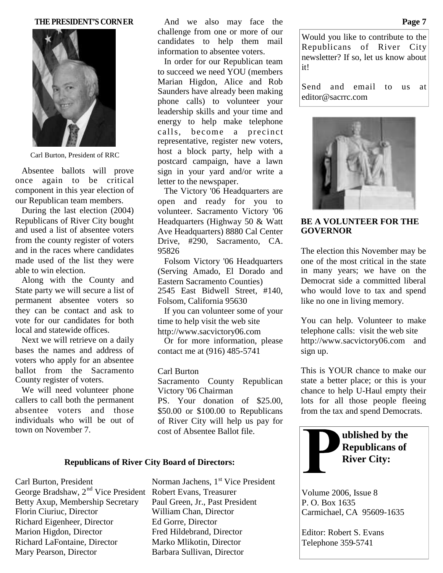#### **THE PRESIDENT'S CORNER**



Carl Burton, President of RRC

Absentee ballots will prove once again to be critical component in this year election of our Republican team members.

During the last election (2004) Republicans of River City bought and used a list of absentee voters from the county register of voters and in the races where candidates made used of the list they were able to win election.

Along with the County and State party we will secure a list of permanent absentee voters so they can be contact and ask to vote for our candidates for both local and statewide offices.

Next we will retrieve on a daily bases the names and address of voters who apply for an absentee ballot from the Sacramento County register of voters.

We will need volunteer phone callers to call both the permanent absentee voters and those individuals who will be out of town on November 7.

And we also may face the challenge from one or more of our candidates to help them mail information to absentee voters.

In order for our Republican team to succeed we need YOU (members Marian Higdon, Alice and Rob Saunders have already been making phone calls) to volunteer your leadership skills and your time and energy to help make telephone calls, become a precinct representative, register new voters, host a block party, help with a postcard campaign, have a lawn sign in your yard and/or write a letter to the newspaper.

The Victory '06 Headquarters are open and ready for you to volunteer. Sacramento Victory '06 Headquarters (Highway 50 & Watt Ave Headquarters) 8880 Cal Center Drive, #290, Sacramento, CA. 95826

Folsom Victory '06 Headquarters (Serving Amado, El Dorado and Eastern Sacramento Counties) 2545 East Bidwell Street, #140, Folsom, California 95630

If you can volunteer some of your time to help visit the web site http://www.sacvictory06.com

Or for more information, please contact me at (916) 485-5741

#### Carl Burton

Sacramento County Republican Victory '06 Chairman PS. Your donation of \$25.00, \$50.00 or \$100.00 to Republicans of River City will help us pay for cost of Absentee Ballot file.

#### **Republicans of River City Board of Directors:**

George Bradshaw, 2<sup>nd</sup> Vice President Robert Evans, Treasurer Betty Axup, Membership Secretary Paul Green, Jr., Past President Florin Ciuriuc, Director William Chan, Director Richard Eigenheer, Director Ed Gorre, Director Marion Higdon, Director Fred Hildebrand, Director Richard LaFontaine, Director Marko Mlikotin, Director Mary Pearson, Director Barbara Sullivan, Director

Carl Burton, President Norman Jachens, 1<sup>st</sup> Vice President

Would you like to contribute to the Republicans of River City newsletter? If so, let us know about it!

Send and email to us at editor@sacrrc.com



**BE A VOLUNTEER FOR THE GOVERNOR**

The election this November may be one of the most critical in the state in many years; we have on the Democrat side a committed liberal who would love to tax and spend like no one in living memory.

You can help. Volunteer to make telephone calls: visit the web site http://www.sacvictory06.com and sign up.

This is YOUR chance to make our state a better place; or this is your chance to help U-Haul empty their lots for all those people fleeing from the tax and spend Democrats.



Volume 2006, Issue 8 P. O. Box 1635 Carmichael, CA 95609-1635

Editor: Robert S. Evans Telephone 359-5741